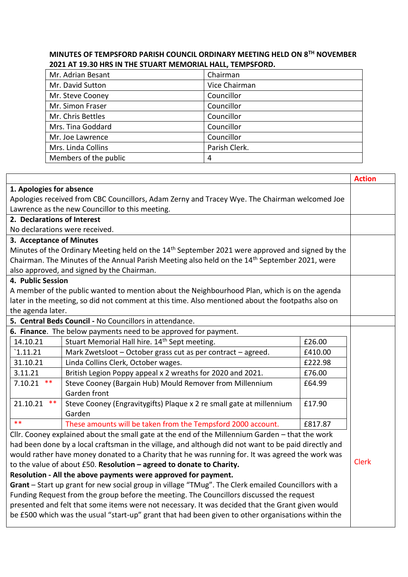## **MINUTES OF TEMPSFORD PARISH COUNCIL ORDINARY MEETING HELD ON 8TH NOVEMBER 2021 AT 19.30 HRS IN THE STUART MEMORIAL HALL, TEMPSFORD.**

| Mr. Adrian Besant     | Chairman      |
|-----------------------|---------------|
| Mr. David Sutton      | Vice Chairman |
| Mr. Steve Cooney      | Councillor    |
| Mr. Simon Fraser      | Councillor    |
| Mr. Chris Bettles     | Councillor    |
| Mrs. Tina Goddard     | Councillor    |
| Mr. Joe Lawrence      | Councillor    |
| Mrs. Linda Collins    | Parish Clerk. |
| Members of the public | 4             |

|                                                                                                             |                                                                          |         | <b>Action</b> |  |
|-------------------------------------------------------------------------------------------------------------|--------------------------------------------------------------------------|---------|---------------|--|
| 1. Apologies for absence                                                                                    |                                                                          |         |               |  |
| Apologies received from CBC Councillors, Adam Zerny and Tracey Wye. The Chairman welcomed Joe               |                                                                          |         |               |  |
| Lawrence as the new Councillor to this meeting.                                                             |                                                                          |         |               |  |
| 2. Declarations of Interest                                                                                 |                                                                          |         |               |  |
| No declarations were received.                                                                              |                                                                          |         |               |  |
| 3. Acceptance of Minutes                                                                                    |                                                                          |         |               |  |
| Minutes of the Ordinary Meeting held on the 14 <sup>th</sup> September 2021 were approved and signed by the |                                                                          |         |               |  |
| Chairman. The Minutes of the Annual Parish Meeting also held on the 14 <sup>th</sup> September 2021, were   |                                                                          |         |               |  |
| also approved, and signed by the Chairman.                                                                  |                                                                          |         |               |  |
| 4. Public Session                                                                                           |                                                                          |         |               |  |
| A member of the public wanted to mention about the Neighbourhood Plan, which is on the agenda               |                                                                          |         |               |  |
| later in the meeting, so did not comment at this time. Also mentioned about the footpaths also on           |                                                                          |         |               |  |
| the agenda later.                                                                                           |                                                                          |         |               |  |
| 5. Central Beds Council - No Councillors in attendance.                                                     |                                                                          |         |               |  |
|                                                                                                             | 6. Finance. The below payments need to be approved for payment.          |         |               |  |
| 14.10.21                                                                                                    | Stuart Memorial Hall hire. 14 <sup>th</sup> Sept meeting.                | £26.00  |               |  |
| `1.11.21                                                                                                    | Mark Zwetsloot - October grass cut as per contract - agreed.             | £410.00 |               |  |
| 31.10.21                                                                                                    | Linda Collins Clerk, October wages.                                      | £222.98 |               |  |
| 3.11.21                                                                                                     | British Legion Poppy appeal x 2 wreaths for 2020 and 2021.               | £76.00  |               |  |
| 7.10.21<br>$***$                                                                                            | Steve Cooney (Bargain Hub) Mould Remover from Millennium<br>Garden front | £64.99  |               |  |
| 21.10.21<br>$***$                                                                                           | Steve Cooney (Engravitygifts) Plaque x 2 re small gate at millennium     | £17.90  |               |  |
|                                                                                                             | Garden                                                                   |         |               |  |
| $***$                                                                                                       | These amounts will be taken from the Tempsford 2000 account.             | £817.87 |               |  |
| Cllr. Cooney explained about the small gate at the end of the Millennium Garden - that the work             |                                                                          |         |               |  |
| had been done by a local craftsman in the village, and although did not want to be paid directly and        |                                                                          |         |               |  |
| would rather have money donated to a Charity that he was running for. It was agreed the work was            |                                                                          |         |               |  |
| to the value of about £50. Resolution - agreed to donate to Charity.                                        |                                                                          |         | <b>Clerk</b>  |  |
| Resolution - All the above payments were approved for payment.                                              |                                                                          |         |               |  |
| Grant - Start up grant for new social group in village "TMug". The Clerk emailed Councillors with a         |                                                                          |         |               |  |
| Funding Request from the group before the meeting. The Councillors discussed the request                    |                                                                          |         |               |  |
| presented and felt that some items were not necessary. It was decided that the Grant given would            |                                                                          |         |               |  |
| be £500 which was the usual "start-up" grant that had been given to other organisations within the          |                                                                          |         |               |  |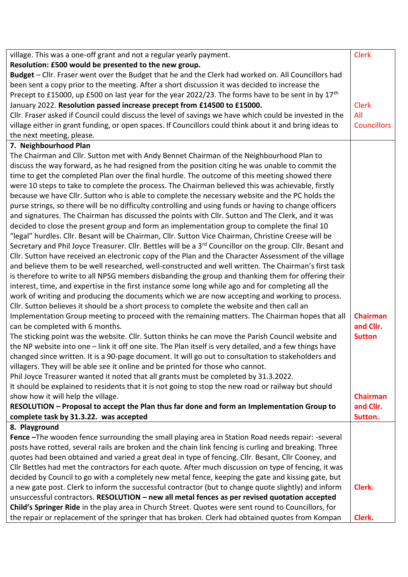| village. This was a one-off grant and not a regular yearly payment.                                                   | <b>Clerk</b>       |
|-----------------------------------------------------------------------------------------------------------------------|--------------------|
| Resolution: £500 would be presented to the new group.                                                                 |                    |
| Budget - Cllr. Fraser went over the Budget that he and the Clerk had worked on. All Councillors had                   |                    |
| been sent a copy prior to the meeting. After a short discussion it was decided to increase the                        |                    |
| Precept to £15000, up £500 on last year for the year 2022/23. The forms have to be sent in by 17 <sup>th</sup>        |                    |
| January 2022. Resolution passed increase precept from £14500 to £15000.                                               | <b>Clerk</b>       |
| Cllr. Fraser asked if Council could discuss the level of savings we have which could be invested in the               | All                |
| village either in grant funding, or open spaces. If Councillors could think about it and bring ideas to               | <b>Councillors</b> |
| the next meeting, please.                                                                                             |                    |
| 7. Neighbourhood Plan                                                                                                 |                    |
| The Chairman and Cllr. Sutton met with Andy Bennet Chairman of the Neighbourhood Plan to                              |                    |
| discuss the way forward, as he had resigned from the position citing he was unable to commit the                      |                    |
| time to get the completed Plan over the final hurdle. The outcome of this meeting showed there                        |                    |
| were 10 steps to take to complete the process. The Chairman believed this was achievable, firstly                     |                    |
| because we have Cllr. Sutton who is able to complete the necessary website and the PC holds the                       |                    |
| purse strings, so there will be no difficulty controlling and using funds or having to change officers                |                    |
| and signatures. The Chairman has discussed the points with Cllr. Sutton and The Clerk, and it was                     |                    |
| decided to close the present group and form an implementation group to complete the final 10                          |                    |
| "legal" hurdles. Cllr. Besant will be Chairman, Cllr. Sutton Vice Chairman, Christine Creese will be                  |                    |
| Secretary and Phil Joyce Treasurer. Cllr. Bettles will be a 3 <sup>rd</sup> Councillor on the group. Cllr. Besant and |                    |
| Cllr. Sutton have received an electronic copy of the Plan and the Character Assessment of the village                 |                    |
| and believe them to be well researched, well-constructed and well written. The Chairman's first task                  |                    |
| is therefore to write to all NPSG members disbanding the group and thanking them for offering their                   |                    |
| interest, time, and expertise in the first instance some long while ago and for completing all the                    |                    |
| work of writing and producing the documents which we are now accepting and working to process.                        |                    |
| Cllr. Sutton believes it should be a short process to complete the website and then call an                           |                    |
| Implementation Group meeting to proceed with the remaining matters. The Chairman hopes that all                       | <b>Chairman</b>    |
| can be completed with 6 months.                                                                                       | and Cllr.          |
| The sticking point was the website. Cllr. Sutton thinks he can move the Parish Council website and                    | <b>Sutton</b>      |
| the NP website into one - link it off one site. The Plan itself is very detailed, and a few things have               |                    |
| changed since written. It is a 90-page document. It will go out to consultation to stakeholders and                   |                    |
| villagers. They will be able see it online and be printed for those who cannot.                                       |                    |
| Phil Joyce Treasurer wanted it noted that all grants must be completed by 31.3.2022.                                  |                    |
| It should be explained to residents that it is not going to stop the new road or railway but should                   |                    |
| show how it will help the village.                                                                                    | <b>Chairman</b>    |
| RESOLUTION - Proposal to accept the Plan thus far done and form an Implementation Group to                            | and Cllr.          |
| complete task by 31.3.22. was accepted                                                                                | Sutton.            |
| 8. Playground                                                                                                         |                    |
| Fence -The wooden fence surrounding the small playing area in Station Road needs repair: -several                     |                    |
| posts have rotted, several rails are broken and the chain link fencing is curling and breaking. Three                 |                    |
| quotes had been obtained and varied a great deal in type of fencing. Cllr. Besant, Cllr Cooney, and                   |                    |
| Cllr Bettles had met the contractors for each quote. After much discussion on type of fencing, it was                 |                    |
| decided by Council to go with a completely new metal fence, keeping the gate and kissing gate, but                    |                    |
| a new gate post. Clerk to inform the successful contractor (but to change quote slightly) and inform                  | Clerk.             |
| unsuccessful contractors. RESOLUTION - new all metal fences as per revised quotation accepted                         |                    |
| Child's Springer Ride in the play area in Church Street. Quotes were sent round to Councillors, for                   |                    |
| the repair or replacement of the springer that has broken. Clerk had obtained quotes from Kompan                      | Clerk.             |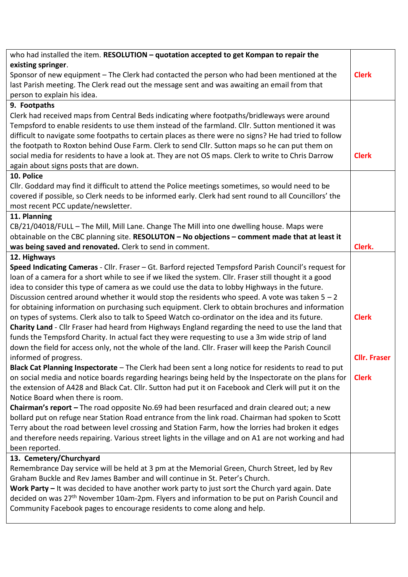| who had installed the item. RESOLUTION - quotation accepted to get Kompan to repair the                   |                     |
|-----------------------------------------------------------------------------------------------------------|---------------------|
| existing springer.                                                                                        |                     |
| Sponsor of new equipment - The Clerk had contacted the person who had been mentioned at the               | <b>Clerk</b>        |
| last Parish meeting. The Clerk read out the message sent and was awaiting an email from that              |                     |
| person to explain his idea.                                                                               |                     |
| 9. Footpaths                                                                                              |                     |
| Clerk had received maps from Central Beds indicating where footpaths/bridleways were around               |                     |
| Tempsford to enable residents to use them instead of the farmland. Cllr. Sutton mentioned it was          |                     |
| difficult to navigate some footpaths to certain places as there were no signs? He had tried to follow     |                     |
| the footpath to Roxton behind Ouse Farm. Clerk to send Cllr. Sutton maps so he can put them on            |                     |
| social media for residents to have a look at. They are not OS maps. Clerk to write to Chris Darrow        | <b>Clerk</b>        |
| again about signs posts that are down.                                                                    |                     |
| 10. Police                                                                                                |                     |
| Cllr. Goddard may find it difficult to attend the Police meetings sometimes, so would need to be          |                     |
| covered if possible, so Clerk needs to be informed early. Clerk had sent round to all Councillors' the    |                     |
| most recent PCC update/newsletter.                                                                        |                     |
| 11. Planning                                                                                              |                     |
| CB/21/04018/FULL - The Mill, Mill Lane. Change The Mill into one dwelling house. Maps were                |                     |
| obtainable on the CBC planning site. RESOLUTON - No objections - comment made that at least it            |                     |
| was being saved and renovated. Clerk to send in comment.                                                  | Clerk.              |
| 12. Highways                                                                                              |                     |
| Speed Indicating Cameras - Cllr. Fraser - Gt. Barford rejected Tempsford Parish Council's request for     |                     |
| loan of a camera for a short while to see if we liked the system. Cllr. Fraser still thought it a good    |                     |
| idea to consider this type of camera as we could use the data to lobby Highways in the future.            |                     |
| Discussion centred around whether it would stop the residents who speed. A vote was taken $5 - 2$         |                     |
| for obtaining information on purchasing such equipment. Clerk to obtain brochures and information         |                     |
| on types of systems. Clerk also to talk to Speed Watch co-ordinator on the idea and its future.           | <b>Clerk</b>        |
| Charity Land - Cllr Fraser had heard from Highways England regarding the need to use the land that        |                     |
| funds the Tempsford Charity. In actual fact they were requesting to use a 3m wide strip of land           |                     |
| down the field for access only, not the whole of the land. Cllr. Fraser will keep the Parish Council      |                     |
| informed of progress.                                                                                     | <b>Cllr. Fraser</b> |
| Black Cat Planning Inspectorate - The Clerk had been sent a long notice for residents to read to put      |                     |
| on social media and notice boards regarding hearings being held by the Inspectorate on the plans for      | <b>Clerk</b>        |
| the extension of A428 and Black Cat. Cllr. Sutton had put it on Facebook and Clerk will put it on the     |                     |
| Notice Board when there is room.                                                                          |                     |
| Chairman's report - The road opposite No.69 had been resurfaced and drain cleared out; a new              |                     |
| bollard put on refuge near Station Road entrance from the link road. Chairman had spoken to Scott         |                     |
| Terry about the road between level crossing and Station Farm, how the lorries had broken it edges         |                     |
| and therefore needs repairing. Various street lights in the village and on A1 are not working and had     |                     |
| been reported.                                                                                            |                     |
| 13. Cemetery/Churchyard                                                                                   |                     |
| Remembrance Day service will be held at 3 pm at the Memorial Green, Church Street, led by Rev             |                     |
| Graham Buckle and Rev James Bamber and will continue in St. Peter's Church.                               |                     |
| Work Party - It was decided to have another work party to just sort the Church yard again. Date           |                     |
| decided on was 27 <sup>th</sup> November 10am-2pm. Flyers and information to be put on Parish Council and |                     |
| Community Facebook pages to encourage residents to come along and help.                                   |                     |
|                                                                                                           |                     |